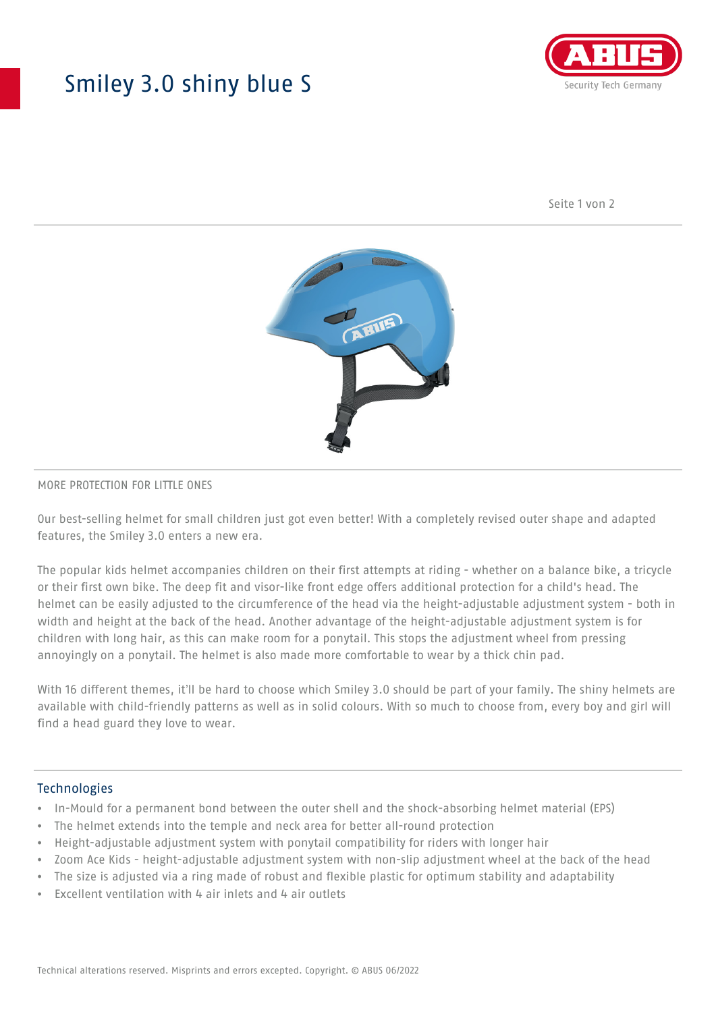## Smiley 3.0 shiny blue S



Seite 1 von 2



#### MORE PROTECTION FOR LITTLE ONES

Our best-selling helmet for small children just got even better! With a completely revised outer shape and adapted features, the Smiley 3.0 enters a new era.

The popular kids helmet accompanies children on their first attempts at riding - whether on a balance bike, a tricycle or their first own bike. The deep fit and visor-like front edge offers additional protection for a child's head. The helmet can be easily adjusted to the circumference of the head via the height-adjustable adjustment system - both in width and height at the back of the head. Another advantage of the height-adjustable adjustment system is for children with long hair, as this can make room for a ponytail. This stops the adjustment wheel from pressing annoyingly on a ponytail. The helmet is also made more comfortable to wear by a thick chin pad.

With 16 different themes, it'll be hard to choose which Smiley 3.0 should be part of your family. The shiny helmets are available with child-friendly patterns as well as in solid colours. With so much to choose from, every boy and girl will find a head guard they love to wear.

#### Technologies

- In-Mould for a permanent bond between the outer shell and the shock-absorbing helmet material (EPS)
- The helmet extends into the temple and neck area for better all-round protection
- Height-adjustable adjustment system with ponytail compatibility for riders with longer hair
- Zoom Ace Kids height-adjustable adjustment system with non-slip adjustment wheel at the back of the head
- The size is adjusted via a ring made of robust and flexible plastic for optimum stability and adaptability
- Excellent ventilation with 4 air inlets and 4 air outlets